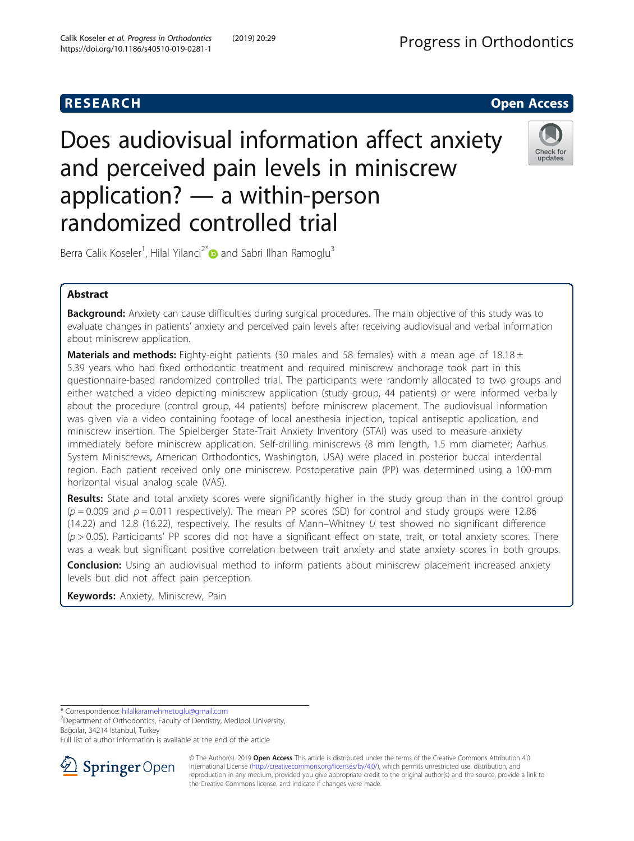# **RESEARCH CHILD CONTROL** CONTROL CONTROL CONTROL CONTROL CONTROL CONTROL CONTROL CONTROL CONTROL CONTROL CONTROL CONTROL CONTROL CONTROL CONTROL CONTROL CONTROL CONTROL CONTROL CONTROL CONTROL CONTROL CONTROL CONTROL CONTR

# Does audiovisual information affect anxiety and perceived pain levels in miniscrew application? — a within-person randomized controlled trial



Berra Calik Koseler<sup>1</sup>, Hilal Yilanci<sup>2\*</sup> and Sabri Ilhan Ramoglu<sup>3</sup>

# Abstract

Background: Anxiety can cause difficulties during surgical procedures. The main objective of this study was to evaluate changes in patients' anxiety and perceived pain levels after receiving audiovisual and verbal information about miniscrew application.

**Materials and methods:** Eighty-eight patients (30 males and 58 females) with a mean age of 18.18  $\pm$ 5.39 years who had fixed orthodontic treatment and required miniscrew anchorage took part in this questionnaire-based randomized controlled trial. The participants were randomly allocated to two groups and either watched a video depicting miniscrew application (study group, 44 patients) or were informed verbally about the procedure (control group, 44 patients) before miniscrew placement. The audiovisual information was given via a video containing footage of local anesthesia injection, topical antiseptic application, and miniscrew insertion. The Spielberger State-Trait Anxiety Inventory (STAI) was used to measure anxiety immediately before miniscrew application. Self-drilling miniscrews (8 mm length, 1.5 mm diameter; Aarhus System Miniscrews, American Orthodontics, Washington, USA) were placed in posterior buccal interdental region. Each patient received only one miniscrew. Postoperative pain (PP) was determined using a 100-mm horizontal visual analog scale (VAS).

Results: State and total anxiety scores were significantly higher in the study group than in the control group  $(p = 0.009$  and  $p = 0.011$  respectively). The mean PP scores (SD) for control and study groups were 12.86 (14.22) and 12.8 (16.22), respectively. The results of Mann–Whitney U test showed no significant difference  $(p > 0.05)$ . Participants' PP scores did not have a significant effect on state, trait, or total anxiety scores. There was a weak but significant positive correlation between trait anxiety and state anxiety scores in both groups.

**Conclusion:** Using an audiovisual method to inform patients about miniscrew placement increased anxiety levels but did not affect pain perception.

Keywords: Anxiety, Miniscrew, Pain

\* Correspondence: [hilalkaramehmetoglu@gmail.com](mailto:hilalkaramehmetoglu@gmail.com) <sup>2</sup>

<sup>2</sup>Department of Orthodontics, Faculty of Dentistry, Medipol University, Bağcılar, 34214 Istanbul, Turkey

Full list of author information is available at the end of the article



© The Author(s). 2019 Open Access This article is distributed under the terms of the Creative Commons Attribution 4.0 International License ([http://creativecommons.org/licenses/by/4.0/\)](http://creativecommons.org/licenses/by/4.0/), which permits unrestricted use, distribution, and reproduction in any medium, provided you give appropriate credit to the original author(s) and the source, provide a link to the Creative Commons license, and indicate if changes were made.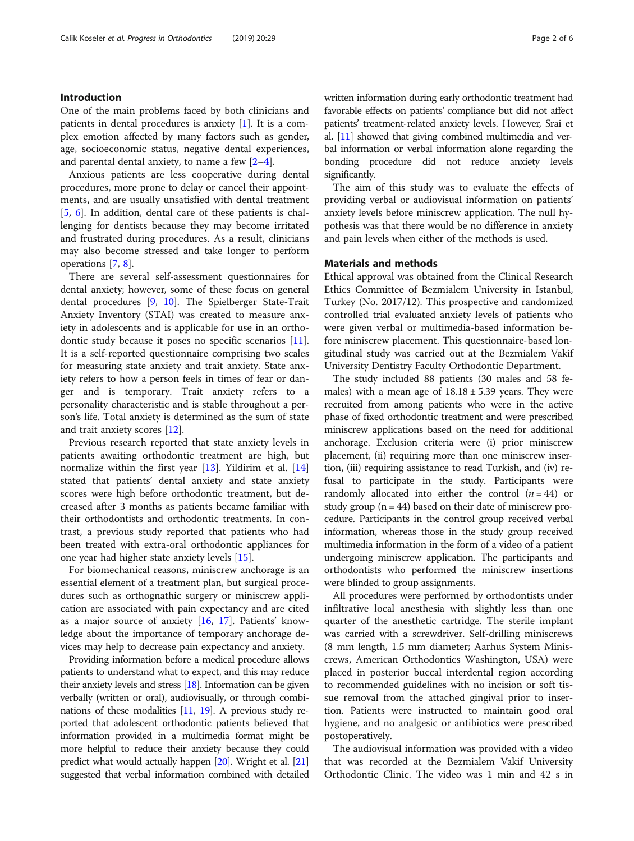### Introduction

One of the main problems faced by both clinicians and patients in dental procedures is anxiety [\[1](#page-5-0)]. It is a complex emotion affected by many factors such as gender, age, socioeconomic status, negative dental experiences, and parental dental anxiety, to name a few  $[2-4]$  $[2-4]$  $[2-4]$  $[2-4]$ .

Anxious patients are less cooperative during dental procedures, more prone to delay or cancel their appointments, and are usually unsatisfied with dental treatment [[5,](#page-5-0) [6\]](#page-5-0). In addition, dental care of these patients is challenging for dentists because they may become irritated and frustrated during procedures. As a result, clinicians may also become stressed and take longer to perform operations [[7,](#page-5-0) [8\]](#page-5-0).

There are several self-assessment questionnaires for dental anxiety; however, some of these focus on general dental procedures [\[9,](#page-5-0) [10](#page-5-0)]. The Spielberger State-Trait Anxiety Inventory (STAI) was created to measure anxiety in adolescents and is applicable for use in an orthodontic study because it poses no specific scenarios [\[11](#page-5-0)]. It is a self-reported questionnaire comprising two scales for measuring state anxiety and trait anxiety. State anxiety refers to how a person feels in times of fear or danger and is temporary. Trait anxiety refers to a personality characteristic and is stable throughout a person's life. Total anxiety is determined as the sum of state and trait anxiety scores [[12\]](#page-5-0).

Previous research reported that state anxiety levels in patients awaiting orthodontic treatment are high, but normalize within the first year [[13\]](#page-5-0). Yildirim et al. [[14](#page-5-0)] stated that patients' dental anxiety and state anxiety scores were high before orthodontic treatment, but decreased after 3 months as patients became familiar with their orthodontists and orthodontic treatments. In contrast, a previous study reported that patients who had been treated with extra-oral orthodontic appliances for one year had higher state anxiety levels [\[15](#page-5-0)].

For biomechanical reasons, miniscrew anchorage is an essential element of a treatment plan, but surgical procedures such as orthognathic surgery or miniscrew application are associated with pain expectancy and are cited as a major source of anxiety [[16,](#page-5-0) [17](#page-5-0)]. Patients' knowledge about the importance of temporary anchorage devices may help to decrease pain expectancy and anxiety.

Providing information before a medical procedure allows patients to understand what to expect, and this may reduce their anxiety levels and stress [\[18\]](#page-5-0). Information can be given verbally (written or oral), audiovisually, or through combinations of these modalities  $[11, 19]$  $[11, 19]$  $[11, 19]$  $[11, 19]$ . A previous study reported that adolescent orthodontic patients believed that information provided in a multimedia format might be more helpful to reduce their anxiety because they could predict what would actually happen [\[20\]](#page-5-0). Wright et al. [\[21](#page-5-0)] suggested that verbal information combined with detailed written information during early orthodontic treatment had favorable effects on patients' compliance but did not affect

patients' treatment-related anxiety levels. However, Srai et al. [[11](#page-5-0)] showed that giving combined multimedia and verbal information or verbal information alone regarding the bonding procedure did not reduce anxiety levels significantly.

The aim of this study was to evaluate the effects of providing verbal or audiovisual information on patients' anxiety levels before miniscrew application. The null hypothesis was that there would be no difference in anxiety and pain levels when either of the methods is used.

#### Materials and methods

Ethical approval was obtained from the Clinical Research Ethics Committee of Bezmialem University in Istanbul, Turkey (No. 2017/12). This prospective and randomized controlled trial evaluated anxiety levels of patients who were given verbal or multimedia-based information before miniscrew placement. This questionnaire-based longitudinal study was carried out at the Bezmialem Vakif University Dentistry Faculty Orthodontic Department.

The study included 88 patients (30 males and 58 females) with a mean age of  $18.18 \pm 5.39$  years. They were recruited from among patients who were in the active phase of fixed orthodontic treatment and were prescribed miniscrew applications based on the need for additional anchorage. Exclusion criteria were (i) prior miniscrew placement, (ii) requiring more than one miniscrew insertion, (iii) requiring assistance to read Turkish, and (iv) refusal to participate in the study. Participants were randomly allocated into either the control  $(n = 44)$  or study group  $(n = 44)$  based on their date of miniscrew procedure. Participants in the control group received verbal information, whereas those in the study group received multimedia information in the form of a video of a patient undergoing miniscrew application. The participants and orthodontists who performed the miniscrew insertions were blinded to group assignments.

All procedures were performed by orthodontists under infiltrative local anesthesia with slightly less than one quarter of the anesthetic cartridge. The sterile implant was carried with a screwdriver. Self-drilling miniscrews (8 mm length, 1.5 mm diameter; Aarhus System Miniscrews, American Orthodontics Washington, USA) were placed in posterior buccal interdental region according to recommended guidelines with no incision or soft tissue removal from the attached gingival prior to insertion. Patients were instructed to maintain good oral hygiene, and no analgesic or antibiotics were prescribed postoperatively.

The audiovisual information was provided with a video that was recorded at the Bezmialem Vakif University Orthodontic Clinic. The video was 1 min and 42 s in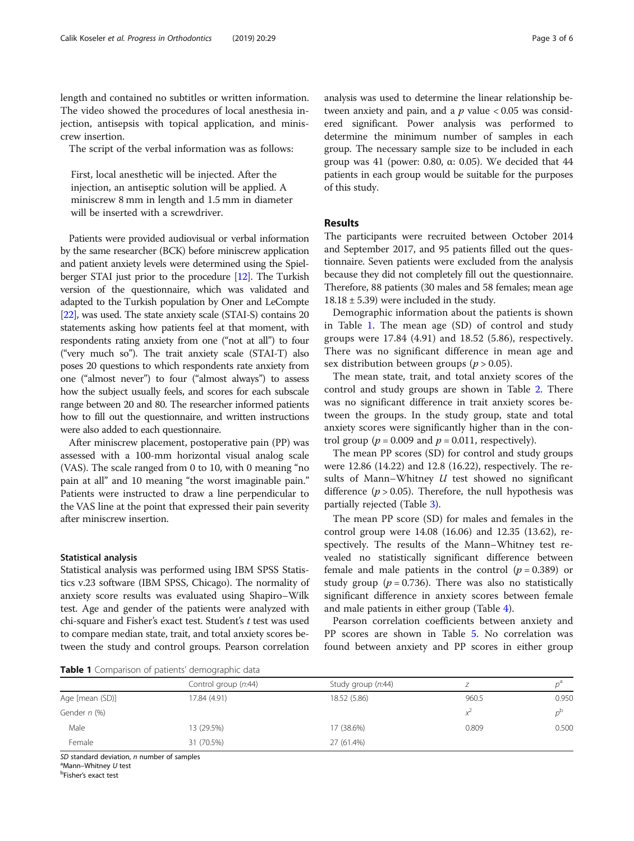length and contained no subtitles or written information. The video showed the procedures of local anesthesia injection, antisepsis with topical application, and miniscrew insertion.

The script of the verbal information was as follows:

First, local anesthetic will be injected. After the injection, an antiseptic solution will be applied. A miniscrew 8 mm in length and 1.5 mm in diameter will be inserted with a screwdriver.

Patients were provided audiovisual or verbal information by the same researcher (BCK) before miniscrew application and patient anxiety levels were determined using the Spielberger STAI just prior to the procedure [\[12](#page-5-0)]. The Turkish version of the questionnaire, which was validated and adapted to the Turkish population by Oner and LeCompte [[22](#page-5-0)], was used. The state anxiety scale (STAI-S) contains 20 statements asking how patients feel at that moment, with respondents rating anxiety from one ("not at all") to four ("very much so"). The trait anxiety scale (STAI-T) also poses 20 questions to which respondents rate anxiety from one ("almost never") to four ("almost always") to assess how the subject usually feels, and scores for each subscale range between 20 and 80. The researcher informed patients how to fill out the questionnaire, and written instructions were also added to each questionnaire.

After miniscrew placement, postoperative pain (PP) was assessed with a 100-mm horizontal visual analog scale (VAS). The scale ranged from 0 to 10, with 0 meaning "no pain at all" and 10 meaning "the worst imaginable pain." Patients were instructed to draw a line perpendicular to the VAS line at the point that expressed their pain severity after miniscrew insertion.

#### Statistical analysis

Statistical analysis was performed using IBM SPSS Statistics v.23 software (IBM SPSS, Chicago). The normality of anxiety score results was evaluated using Shapiro–Wilk test. Age and gender of the patients were analyzed with chi-square and Fisher's exact test. Student's t test was used to compare median state, trait, and total anxiety scores between the study and control groups. Pearson correlation analysis was used to determine the linear relationship between anxiety and pain, and a  $p$  value  $<0.05$  was considered significant. Power analysis was performed to determine the minimum number of samples in each group. The necessary sample size to be included in each group was 41 (power: 0.80, α: 0.05). We decided that  $44$ patients in each group would be suitable for the purposes of this study.

#### Results

The participants were recruited between October 2014 and September 2017, and 95 patients filled out the questionnaire. Seven patients were excluded from the analysis because they did not completely fill out the questionnaire. Therefore, 88 patients (30 males and 58 females; mean age  $18.18 \pm 5.39$ ) were included in the study.

Demographic information about the patients is shown in Table 1. The mean age (SD) of control and study groups were 17.84 (4.91) and 18.52 (5.86), respectively. There was no significant difference in mean age and sex distribution between groups ( $p > 0.05$ ).

The mean state, trait, and total anxiety scores of the control and study groups are shown in Table [2.](#page-3-0) There was no significant difference in trait anxiety scores between the groups. In the study group, state and total anxiety scores were significantly higher than in the control group ( $p = 0.009$  and  $p = 0.011$ , respectively).

The mean PP scores (SD) for control and study groups were 12.86 (14.22) and 12.8 (16.22), respectively. The results of Mann-Whitney  $U$  test showed no significant difference ( $p > 0.05$ ). Therefore, the null hypothesis was partially rejected (Table [3\)](#page-3-0).

The mean PP score (SD) for males and females in the control group were 14.08 (16.06) and 12.35 (13.62), respectively. The results of the Mann–Whitney test revealed no statistically significant difference between female and male patients in the control  $(p = 0.389)$  or study group ( $p = 0.736$ ). There was also no statistically significant difference in anxiety scores between female and male patients in either group (Table [4\)](#page-3-0).

Pearson correlation coefficients between anxiety and PP scores are shown in Table [5.](#page-4-0) No correlation was found between anxiety and PP scores in either group

Table 1 Comparison of patients' demographic data

| <b>I WATE</b> I COMPANISON OF PARCHIES ACHIOGRAPHIC GARD |                    |       |                |  |  |  |
|----------------------------------------------------------|--------------------|-------|----------------|--|--|--|
| Control group (n:44)                                     | Study group (n:44) |       |                |  |  |  |
| 17.84 (4.91)                                             | 18.52 (5.86)       | 960.5 | 0.950          |  |  |  |
|                                                          |                    |       | n <sup>b</sup> |  |  |  |
| 13 (29.5%)                                               | 17 (38.6%)         | 0.809 | 0.500          |  |  |  |
| 31 (70.5%)                                               | 27 (61.4%)         |       |                |  |  |  |
|                                                          |                    |       |                |  |  |  |

 $SD$  standard deviation,  $n$  number of samples

 $^a$ Mann–Whitney U test

b<sub>Fisher's exact test</sub>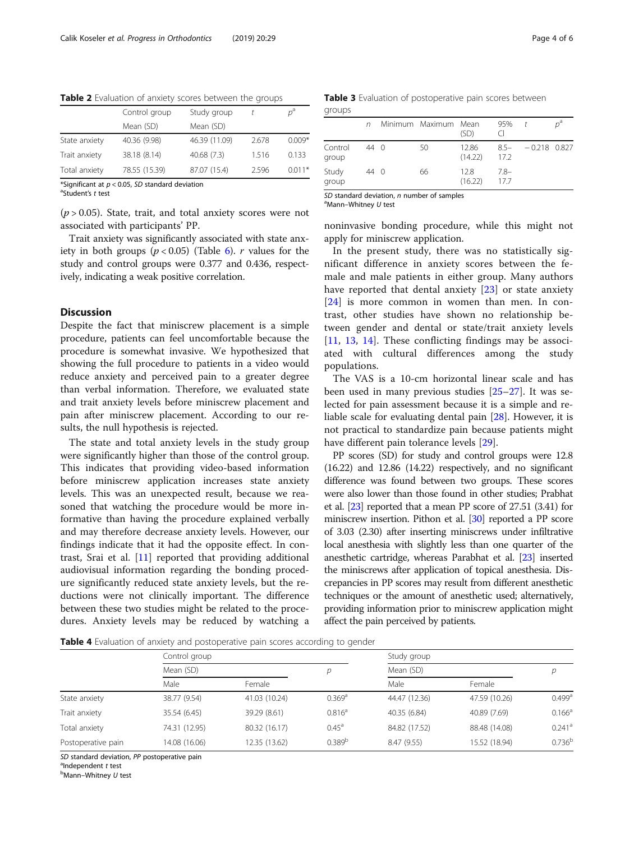<span id="page-3-0"></span>Table 2 Evaluation of anxiety scores between the groups

|               | Control group | Study group   |       | $p^a$    |
|---------------|---------------|---------------|-------|----------|
|               | Mean (SD)     | Mean (SD)     |       |          |
| State anxiety | 40.36 (9.98)  | 46.39 (11.09) | 2.678 | $0.009*$ |
| Trait anxiety | 38.18 (8.14)  | 40.68 (7.3)   | 1.516 | 0.133    |
| Total anxiety | 78.55 (15.39) | 87.07 (15.4)  | 2.596 | $0.011*$ |

\*Significant at  $p < 0.05$ , SD standard deviation

<sup>a</sup>Student's t test

 $(p > 0.05)$ . State, trait, and total anxiety scores were not associated with participants' PP.

Trait anxiety was significantly associated with state anxiety in both groups ( $p < 0.05$ ) (Table [6](#page-4-0)). *r* values for the study and control groups were 0.377 and 0.436, respectively, indicating a weak positive correlation.

### **Discussion**

Despite the fact that miniscrew placement is a simple procedure, patients can feel uncomfortable because the procedure is somewhat invasive. We hypothesized that showing the full procedure to patients in a video would reduce anxiety and perceived pain to a greater degree than verbal information. Therefore, we evaluated state and trait anxiety levels before miniscrew placement and pain after miniscrew placement. According to our results, the null hypothesis is rejected.

The state and total anxiety levels in the study group were significantly higher than those of the control group. This indicates that providing video-based information before miniscrew application increases state anxiety levels. This was an unexpected result, because we reasoned that watching the procedure would be more informative than having the procedure explained verbally and may therefore decrease anxiety levels. However, our findings indicate that it had the opposite effect. In contrast, Srai et al. [[11\]](#page-5-0) reported that providing additional audiovisual information regarding the bonding procedure significantly reduced state anxiety levels, but the reductions were not clinically important. The difference between these two studies might be related to the procedures. Anxiety levels may be reduced by watching a

Table 3 Evaluation of postoperative pain scores between groups

|                  | n    | Minimum Maximum Mean | (SD)             | 95%            |                      | $p^{\rm a}$ |
|------------------|------|----------------------|------------------|----------------|----------------------|-------------|
| Control<br>group | 44 0 | 50                   | 12.86<br>(14.22) | 17.2           | $8.5 - -0.218$ 0.827 |             |
| Study<br>group   | 44 0 | 66                   | 128<br>(16.22)   | $7.8-$<br>17.7 |                      |             |

 $SD$  standard deviation,  $n$  number of samples  $^a$ Mann–Whitney  $U$  test

noninvasive bonding procedure, while this might not apply for miniscrew application.

In the present study, there was no statistically significant difference in anxiety scores between the female and male patients in either group. Many authors have reported that dental anxiety [[23\]](#page-5-0) or state anxiety [[24\]](#page-5-0) is more common in women than men. In contrast, other studies have shown no relationship between gender and dental or state/trait anxiety levels [[11,](#page-5-0) [13](#page-5-0), [14\]](#page-5-0). These conflicting findings may be associated with cultural differences among the study populations.

The VAS is a 10-cm horizontal linear scale and has been used in many previous studies [[25](#page-5-0)–[27](#page-5-0)]. It was selected for pain assessment because it is a simple and reliable scale for evaluating dental pain [[28\]](#page-5-0). However, it is not practical to standardize pain because patients might have different pain tolerance levels [\[29\]](#page-5-0).

PP scores (SD) for study and control groups were 12.8 (16.22) and 12.86 (14.22) respectively, and no significant difference was found between two groups. These scores were also lower than those found in other studies; Prabhat et al. [\[23\]](#page-5-0) reported that a mean PP score of 27.51 (3.41) for miniscrew insertion. Pithon et al. [\[30\]](#page-5-0) reported a PP score of 3.03 (2.30) after inserting miniscrews under infiltrative local anesthesia with slightly less than one quarter of the anesthetic cartridge, whereas Parabhat et al. [[23](#page-5-0)] inserted the miniscrews after application of topical anesthesia. Discrepancies in PP scores may result from different anesthetic techniques or the amount of anesthetic used; alternatively, providing information prior to miniscrew application might affect the pain perceived by patients.

**Table 4** Evaluation of anxiety and postoperative pain scores according to gender

|                    | Control group |               |                      | Study group   |               |                      |
|--------------------|---------------|---------------|----------------------|---------------|---------------|----------------------|
|                    | Mean (SD)     |               | D                    | Mean (SD)     |               |                      |
|                    | Male          | Female        |                      | Male          | Female        |                      |
| State anxiety      | 38.77 (9.54)  | 41.03 (10.24) | $0.369$ <sup>a</sup> | 44.47 (12.36) | 47.59 (10.26) | $0.499$ <sup>a</sup> |
| Trait anxiety      | 35.54 (6.45)  | 39.29 (8.61)  | $0.816^a$            | 40.35 (6.84)  | 40.89 (7.69)  | 0.166 <sup>a</sup>   |
| Total anxiety      | 74.31 (12.95) | 80.32 (16.17) | $0.45^{\text{a}}$    | 84.82 (17.52) | 88.48 (14.08) | $0.241$ <sup>a</sup> |
| Postoperative pain | 14.08 (16.06) | 12.35 (13.62) | 0.389 <sup>b</sup>   | 8.47 (9.55)   | 15.52 (18.94) | $0.736^{b}$          |

SD standard deviation, PP postoperative pain<br><sup>a</sup>Independent *t* test

<sup>a</sup>Independent *t* test<br><sup>b</sup>Mann–Whitney *U* test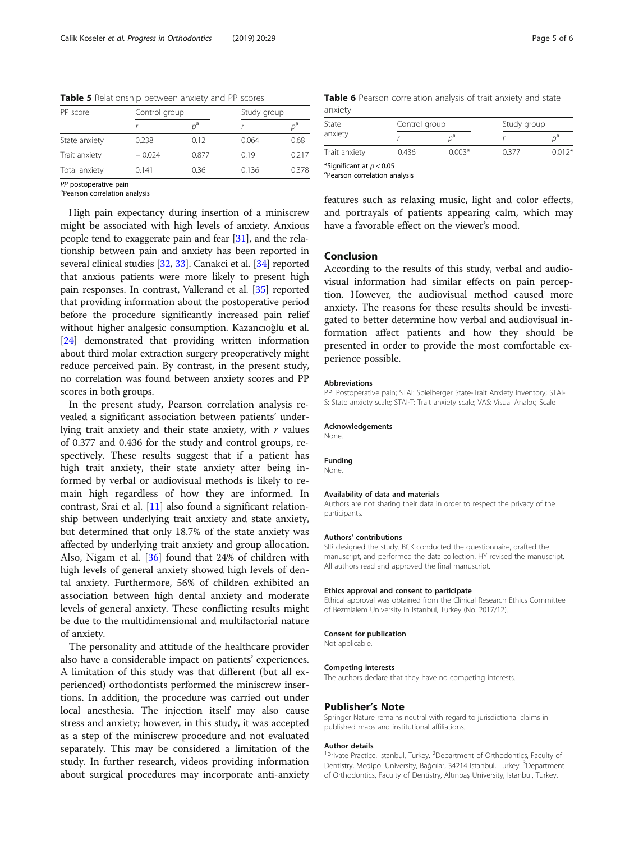<span id="page-4-0"></span>Table 5 Relationship between anxiety and PP scores

| PP score      | Control group |       | Study group |       |
|---------------|---------------|-------|-------------|-------|
|               |               |       |             |       |
| State anxiety | 0.238         | 0.12  | 0.064       | 0.68  |
| Trait anxiety | $-0.024$      | 0.877 | 0.19        | 0.217 |
| Total anxiety | 0.141         | 0.36  | 0.136       | 0.378 |

Table 6 Pearson correlation analysis of trait anxiety and state anxiety

| State<br>anxiety | Control group |          | Study group |          |
|------------------|---------------|----------|-------------|----------|
|                  |               |          |             |          |
| Trait anxiety    | 0.436         | $0.003*$ | 0377        | $0.012*$ |

\*Significant at  $p < 0.05$ 

<sup>a</sup>Pearson correlation analysis

features such as relaxing music, light and color effects, and portrayals of patients appearing calm, which may have a favorable effect on the viewer's mood.

#### Conclusion

According to the results of this study, verbal and audiovisual information had similar effects on pain perception. However, the audiovisual method caused more anxiety. The reasons for these results should be investigated to better determine how verbal and audiovisual information affect patients and how they should be presented in order to provide the most comfortable experience possible.

#### Abbreviations

PP: Postoperative pain; STAI: Spielberger State-Trait Anxiety Inventory; STAI-S: State anxiety scale; STAI-T: Trait anxiety scale; VAS: Visual Analog Scale

#### Acknowledgements

None.

#### Funding

None.

#### Availability of data and materials

Authors are not sharing their data in order to respect the privacy of the participants.

#### Authors' contributions

SIR designed the study. BCK conducted the questionnaire, drafted the manuscript, and performed the data collection. HY revised the manuscript. All authors read and approved the final manuscript.

#### Ethics approval and consent to participate

Ethical approval was obtained from the Clinical Research Ethics Committee of Bezmialem University in Istanbul, Turkey (No. 2017/12).

#### Consent for publication

Not applicable.

#### Competing interests

The authors declare that they have no competing interests.

#### Publisher's Note

Springer Nature remains neutral with regard to jurisdictional claims in published maps and institutional affiliations.

#### Author details

<sup>1</sup> Private Practice, Istanbul, Turkey. <sup>2</sup> Department of Orthodontics, Faculty of Dentistry, Medipol University, Bağcılar, 34214 Istanbul, Turkey. <sup>3</sup>Department of Orthodontics, Faculty of Dentistry, Altınbaş University, Istanbul, Turkey.

PP postoperative pain

Pearson correlation analysis

High pain expectancy during insertion of a miniscrew might be associated with high levels of anxiety. Anxious people tend to exaggerate pain and fear [\[31](#page-5-0)], and the relationship between pain and anxiety has been reported in several clinical studies [\[32,](#page-5-0) [33](#page-5-0)]. Canakci et al. [\[34\]](#page-5-0) reported that anxious patients were more likely to present high pain responses. In contrast, Vallerand et al. [\[35\]](#page-5-0) reported that providing information about the postoperative period before the procedure significantly increased pain relief without higher analgesic consumption. Kazancıoğlu et al. [[24](#page-5-0)] demonstrated that providing written information about third molar extraction surgery preoperatively might reduce perceived pain. By contrast, in the present study, no correlation was found between anxiety scores and PP scores in both groups.

In the present study, Pearson correlation analysis revealed a significant association between patients' underlying trait anxiety and their state anxiety, with  $r$  values of 0.377 and 0.436 for the study and control groups, respectively. These results suggest that if a patient has high trait anxiety, their state anxiety after being informed by verbal or audiovisual methods is likely to remain high regardless of how they are informed. In contrast, Srai et al. [[11](#page-5-0)] also found a significant relationship between underlying trait anxiety and state anxiety, but determined that only 18.7% of the state anxiety was affected by underlying trait anxiety and group allocation. Also, Nigam et al. [\[36](#page-5-0)] found that 24% of children with high levels of general anxiety showed high levels of dental anxiety. Furthermore, 56% of children exhibited an association between high dental anxiety and moderate levels of general anxiety. These conflicting results might be due to the multidimensional and multifactorial nature of anxiety.

The personality and attitude of the healthcare provider also have a considerable impact on patients' experiences. A limitation of this study was that different (but all experienced) orthodontists performed the miniscrew insertions. In addition, the procedure was carried out under local anesthesia. The injection itself may also cause stress and anxiety; however, in this study, it was accepted as a step of the miniscrew procedure and not evaluated separately. This may be considered a limitation of the study. In further research, videos providing information about surgical procedures may incorporate anti-anxiety